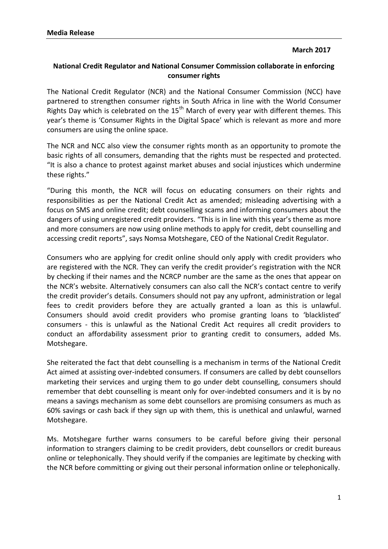## **March 2017**

## **National Credit Regulator and National Consumer Commission collaborate in enforcing consumer rights**

The National Credit Regulator (NCR) and the National Consumer Commission (NCC) have partnered to strengthen consumer rights in South Africa in line with the World Consumer Rights Day which is celebrated on the  $15<sup>th</sup>$  March of every year with different themes. This year's theme is 'Consumer Rights in the Digital Space' which is relevant as more and more consumers are using the online space.

The NCR and NCC also view the consumer rights month as an opportunity to promote the basic rights of all consumers, demanding that the rights must be respected and protected. "It is also a chance to protest against market abuses and social injustices which undermine these rights."

"During this month, the NCR will focus on educating consumers on their rights and responsibilities as per the National Credit Act as amended; misleading advertising with a focus on SMS and online credit; debt counselling scams and informing consumers about the dangers of using unregistered credit providers. "This is in line with this year's theme as more and more consumers are now using online methods to apply for credit, debt counselling and accessing credit reports", says Nomsa Motshegare, CEO of the National Credit Regulator.

Consumers who are applying for credit online should only apply with credit providers who are registered with the NCR. They can verify the credit provider's registration with the NCR by checking if their names and the NCRCP number are the same as the ones that appear on the NCR's website. Alternatively consumers can also call the NCR's contact centre to verify the credit provider's details. Consumers should not pay any upfront, administration or legal fees to credit providers before they are actually granted a loan as this is unlawful. Consumers should avoid credit providers who promise granting loans to 'blacklisted' consumers - this is unlawful as the National Credit Act requires all credit providers to conduct an affordability assessment prior to granting credit to consumers, added Ms. Motshegare.

She reiterated the fact that debt counselling is a mechanism in terms of the National Credit Act aimed at assisting over-indebted consumers. If consumers are called by debt counsellors marketing their services and urging them to go under debt counselling, consumers should remember that debt counselling is meant only for over-indebted consumers and it is by no means a savings mechanism as some debt counsellors are promising consumers as much as 60% savings or cash back if they sign up with them, this is unethical and unlawful, warned Motshegare.

Ms. Motshegare further warns consumers to be careful before giving their personal information to strangers claiming to be credit providers, debt counsellors or credit bureaus online or telephonically. They should verify if the companies are legitimate by checking with the NCR before committing or giving out their personal information online or telephonically.